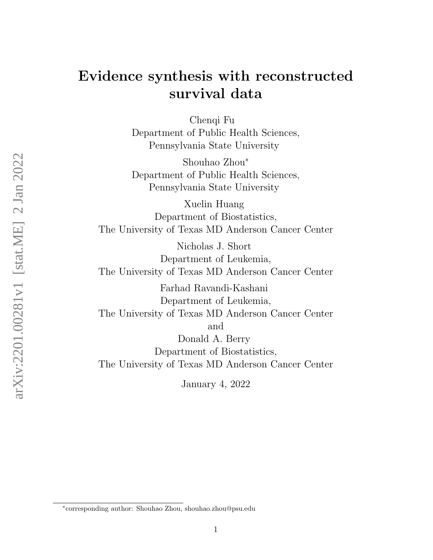# Evidence synthesis with reconstructed survival data

Chenqi Fu Department of Public Health Sciences, Pennsylvania State University

Shouhao Zhou<sup>∗</sup> Department of Public Health Sciences, Pennsylvania State University

Xuelin Huang Department of Biostatistics, The University of Texas MD Anderson Cancer Center

Nicholas J. Short Department of Leukemia, The University of Texas MD Anderson Cancer Center

Farhad Ravandi-Kashani Department of Leukemia, The University of Texas MD Anderson Cancer Center and Donald A. Berry Department of Biostatistics, The University of Texas MD Anderson Cancer Center

January 4, 2022

<sup>∗</sup> corresponding author: Shouhao Zhou, shouhao.zhou@psu.edu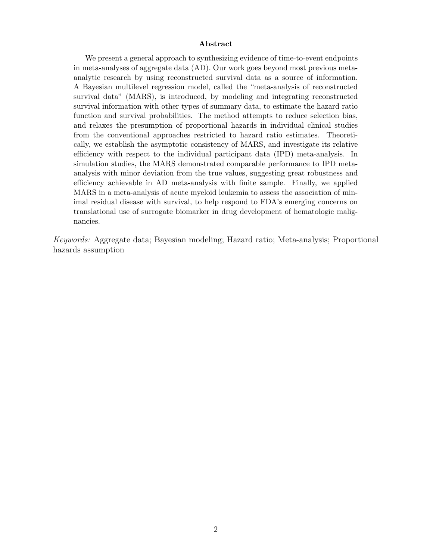#### Abstract

We present a general approach to synthesizing evidence of time-to-event endpoints in meta-analyses of aggregate data (AD). Our work goes beyond most previous metaanalytic research by using reconstructed survival data as a source of information. A Bayesian multilevel regression model, called the "meta-analysis of reconstructed survival data" (MARS), is introduced, by modeling and integrating reconstructed survival information with other types of summary data, to estimate the hazard ratio function and survival probabilities. The method attempts to reduce selection bias, and relaxes the presumption of proportional hazards in individual clinical studies from the conventional approaches restricted to hazard ratio estimates. Theoretically, we establish the asymptotic consistency of MARS, and investigate its relative efficiency with respect to the individual participant data (IPD) meta-analysis. In simulation studies, the MARS demonstrated comparable performance to IPD metaanalysis with minor deviation from the true values, suggesting great robustness and efficiency achievable in AD meta-analysis with finite sample. Finally, we applied MARS in a meta-analysis of acute myeloid leukemia to assess the association of minimal residual disease with survival, to help respond to FDA's emerging concerns on translational use of surrogate biomarker in drug development of hematologic malignancies.

Keywords: Aggregate data; Bayesian modeling; Hazard ratio; Meta-analysis; Proportional hazards assumption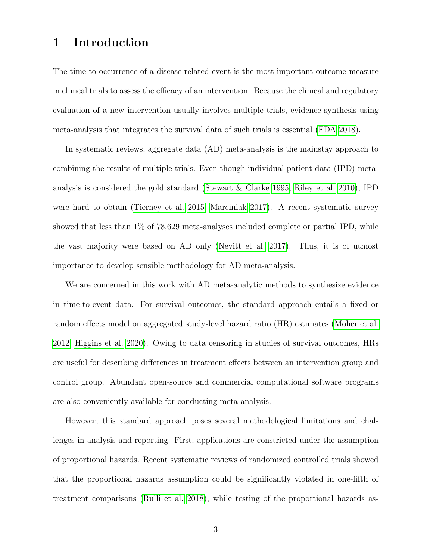# 1 Introduction

The time to occurrence of a disease-related event is the most important outcome measure in clinical trials to assess the efficacy of an intervention. Because the clinical and regulatory evaluation of a new intervention usually involves multiple trials, evidence synthesis using meta-analysis that integrates the survival data of such trials is essential [\(FDA 2018\)](#page-30-0).

In systematic reviews, aggregate data (AD) meta-analysis is the mainstay approach to combining the results of multiple trials. Even though individual patient data (IPD) metaanalysis is considered the gold standard [\(Stewart & Clarke 1995,](#page-34-0) [Riley et al. 2010\)](#page-33-0), IPD were hard to obtain [\(Tierney et al. 2015,](#page-34-1) [Marciniak 2017\)](#page-32-0). A recent systematic survey showed that less than 1% of 78,629 meta-analyses included complete or partial IPD, while the vast majority were based on AD only [\(Nevitt et al. 2017\)](#page-32-1). Thus, it is of utmost importance to develop sensible methodology for AD meta-analysis.

We are concerned in this work with AD meta-analytic methods to synthesize evidence in time-to-event data. For survival outcomes, the standard approach entails a fixed or random effects model on aggregated study-level hazard ratio (HR) estimates [\(Moher et al.](#page-32-2) [2012,](#page-32-2) [Higgins et al. 2020\)](#page-31-0). Owing to data censoring in studies of survival outcomes, HRs are useful for describing differences in treatment effects between an intervention group and control group. Abundant open-source and commercial computational software programs are also conveniently available for conducting meta-analysis.

However, this standard approach poses several methodological limitations and challenges in analysis and reporting. First, applications are constricted under the assumption of proportional hazards. Recent systematic reviews of randomized controlled trials showed that the proportional hazards assumption could be significantly violated in one-fifth of treatment comparisons [\(Rulli et al. 2018\)](#page-34-2), while testing of the proportional hazards as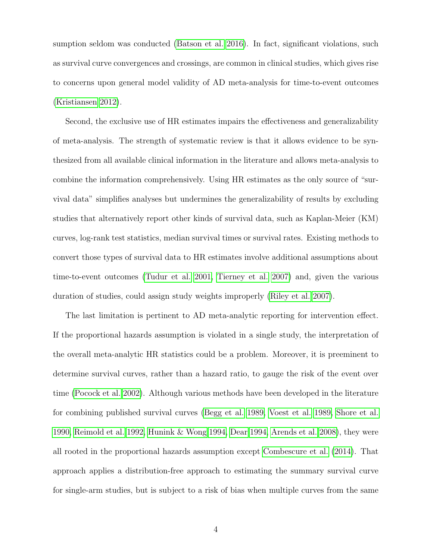sumption seldom was conducted [\(Batson et al. 2016\)](#page-29-0). In fact, significant violations, such as survival curve convergences and crossings, are common in clinical studies, which gives rise to concerns upon general model validity of AD meta-analysis for time-to-event outcomes [\(Kristiansen 2012\)](#page-31-1).

Second, the exclusive use of HR estimates impairs the effectiveness and generalizability of meta-analysis. The strength of systematic review is that it allows evidence to be synthesized from all available clinical information in the literature and allows meta-analysis to combine the information comprehensively. Using HR estimates as the only source of "survival data" simplifies analyses but undermines the generalizability of results by excluding studies that alternatively report other kinds of survival data, such as Kaplan-Meier (KM) curves, log-rank test statistics, median survival times or survival rates. Existing methods to convert those types of survival data to HR estimates involve additional assumptions about time-to-event outcomes [\(Tudur et al. 2001,](#page-35-0) [Tierney et al. 2007\)](#page-35-1) and, given the various duration of studies, could assign study weights improperly [\(Riley et al. 2007\)](#page-33-1).

The last limitation is pertinent to AD meta-analytic reporting for intervention effect. If the proportional hazards assumption is violated in a single study, the interpretation of the overall meta-analytic HR statistics could be a problem. Moreover, it is preeminent to determine survival curves, rather than a hazard ratio, to gauge the risk of the event over time [\(Pocock et al. 2002\)](#page-33-2). Although various methods have been developed in the literature for combining published survival curves [\(Begg et al. 1989,](#page-29-1) [Voest et al. 1989,](#page-35-2) [Shore et al.](#page-34-3) [1990,](#page-34-3) [Reimold et al. 1992,](#page-33-3) [Hunink & Wong 1994,](#page-31-2) [Dear 1994,](#page-30-1) [Arends et al. 2008\)](#page-29-2), they were all rooted in the proportional hazards assumption except [Combescure et al.](#page-29-3) [\(2014\)](#page-29-3). That approach applies a distribution-free approach to estimating the summary survival curve for single-arm studies, but is subject to a risk of bias when multiple curves from the same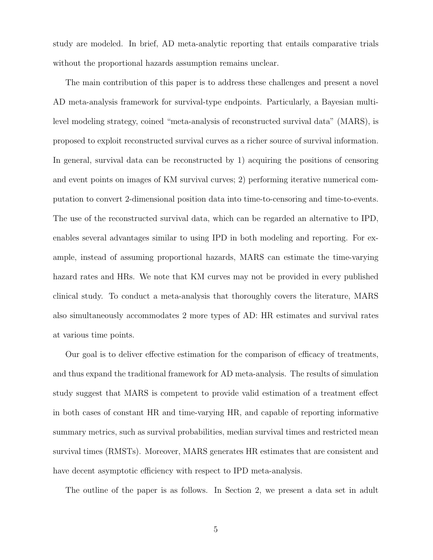study are modeled. In brief, AD meta-analytic reporting that entails comparative trials without the proportional hazards assumption remains unclear.

The main contribution of this paper is to address these challenges and present a novel AD meta-analysis framework for survival-type endpoints. Particularly, a Bayesian multilevel modeling strategy, coined "meta-analysis of reconstructed survival data" (MARS), is proposed to exploit reconstructed survival curves as a richer source of survival information. In general, survival data can be reconstructed by 1) acquiring the positions of censoring and event points on images of KM survival curves; 2) performing iterative numerical computation to convert 2-dimensional position data into time-to-censoring and time-to-events. The use of the reconstructed survival data, which can be regarded an alternative to IPD, enables several advantages similar to using IPD in both modeling and reporting. For example, instead of assuming proportional hazards, MARS can estimate the time-varying hazard rates and HRs. We note that KM curves may not be provided in every published clinical study. To conduct a meta-analysis that thoroughly covers the literature, MARS also simultaneously accommodates 2 more types of AD: HR estimates and survival rates at various time points.

Our goal is to deliver effective estimation for the comparison of efficacy of treatments, and thus expand the traditional framework for AD meta-analysis. The results of simulation study suggest that MARS is competent to provide valid estimation of a treatment effect in both cases of constant HR and time-varying HR, and capable of reporting informative summary metrics, such as survival probabilities, median survival times and restricted mean survival times (RMSTs). Moreover, MARS generates HR estimates that are consistent and have decent asymptotic efficiency with respect to IPD meta-analysis.

The outline of the paper is as follows. In Section 2, we present a data set in adult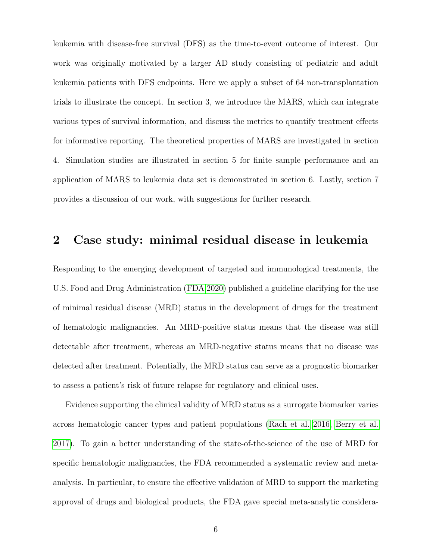leukemia with disease-free survival (DFS) as the time-to-event outcome of interest. Our work was originally motivated by a larger AD study consisting of pediatric and adult leukemia patients with DFS endpoints. Here we apply a subset of 64 non-transplantation trials to illustrate the concept. In section 3, we introduce the MARS, which can integrate various types of survival information, and discuss the metrics to quantify treatment effects for informative reporting. The theoretical properties of MARS are investigated in section 4. Simulation studies are illustrated in section 5 for finite sample performance and an application of MARS to leukemia data set is demonstrated in section 6. Lastly, section 7 provides a discussion of our work, with suggestions for further research.

# <span id="page-5-0"></span>2 Case study: minimal residual disease in leukemia

Responding to the emerging development of targeted and immunological treatments, the U.S. Food and Drug Administration [\(FDA 2020\)](#page-30-2) published a guideline clarifying for the use of minimal residual disease (MRD) status in the development of drugs for the treatment of hematologic malignancies. An MRD-positive status means that the disease was still detectable after treatment, whereas an MRD-negative status means that no disease was detected after treatment. Potentially, the MRD status can serve as a prognostic biomarker to assess a patient's risk of future relapse for regulatory and clinical uses.

Evidence supporting the clinical validity of MRD status as a surrogate biomarker varies across hematologic cancer types and patient populations [\(Rach et al. 2016,](#page-33-4) [Berry et al.](#page-29-4) [2017\)](#page-29-4). To gain a better understanding of the state-of-the-science of the use of MRD for specific hematologic malignancies, the FDA recommended a systematic review and metaanalysis. In particular, to ensure the effective validation of MRD to support the marketing approval of drugs and biological products, the FDA gave special meta-analytic considera-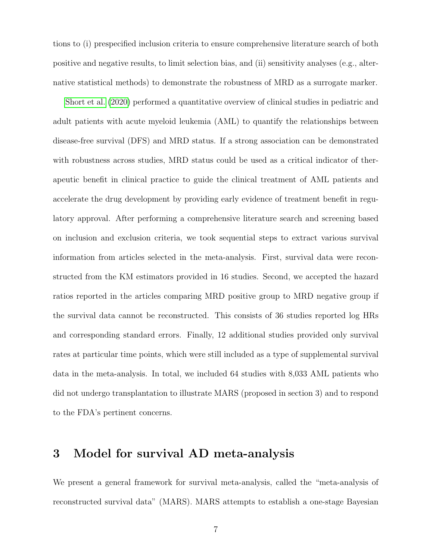tions to (i) prespecified inclusion criteria to ensure comprehensive literature search of both positive and negative results, to limit selection bias, and (ii) sensitivity analyses (e.g., alternative statistical methods) to demonstrate the robustness of MRD as a surrogate marker.

[Short et al.](#page-34-4) [\(2020\)](#page-34-4) performed a quantitative overview of clinical studies in pediatric and adult patients with acute myeloid leukemia (AML) to quantify the relationships between disease-free survival (DFS) and MRD status. If a strong association can be demonstrated with robustness across studies, MRD status could be used as a critical indicator of therapeutic benefit in clinical practice to guide the clinical treatment of AML patients and accelerate the drug development by providing early evidence of treatment benefit in regulatory approval. After performing a comprehensive literature search and screening based on inclusion and exclusion criteria, we took sequential steps to extract various survival information from articles selected in the meta-analysis. First, survival data were reconstructed from the KM estimators provided in 16 studies. Second, we accepted the hazard ratios reported in the articles comparing MRD positive group to MRD negative group if the survival data cannot be reconstructed. This consists of 36 studies reported log HRs and corresponding standard errors. Finally, 12 additional studies provided only survival rates at particular time points, which were still included as a type of supplemental survival data in the meta-analysis. In total, we included 64 studies with 8,033 AML patients who did not undergo transplantation to illustrate MARS (proposed in section 3) and to respond to the FDA's pertinent concerns.

# 3 Model for survival AD meta-analysis

We present a general framework for survival meta-analysis, called the "meta-analysis of reconstructed survival data" (MARS). MARS attempts to establish a one-stage Bayesian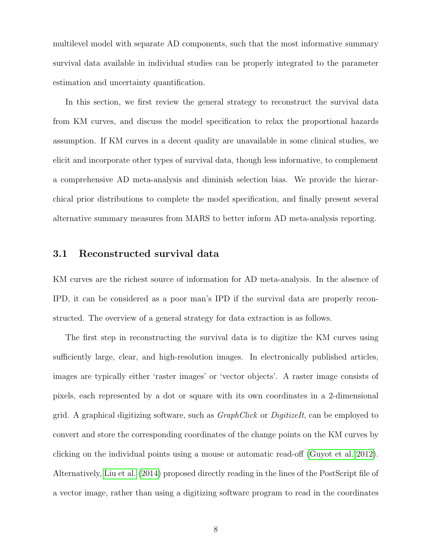multilevel model with separate AD components, such that the most informative summary survival data available in individual studies can be properly integrated to the parameter estimation and uncertainty quantification.

In this section, we first review the general strategy to reconstruct the survival data from KM curves, and discuss the model specification to relax the proportional hazards assumption. If KM curves in a decent quality are unavailable in some clinical studies, we elicit and incorporate other types of survival data, though less informative, to complement a comprehensive AD meta-analysis and diminish selection bias. We provide the hierarchical prior distributions to complete the model specification, and finally present several alternative summary measures from MARS to better inform AD meta-analysis reporting.

### 3.1 Reconstructed survival data

KM curves are the richest source of information for AD meta-analysis. In the absence of IPD, it can be considered as a poor man's IPD if the survival data are properly reconstructed. The overview of a general strategy for data extraction is as follows.

The first step in reconstructing the survival data is to digitize the KM curves using sufficiently large, clear, and high-resolution images. In electronically published articles, images are typically either 'raster images' or 'vector objects'. A raster image consists of pixels, each represented by a dot or square with its own coordinates in a 2-dimensional grid. A graphical digitizing software, such as GraphClick or DigitizeIt, can be employed to convert and store the corresponding coordinates of the change points on the KM curves by clicking on the individual points using a mouse or automatic read-off [\(Guyot et al. 2012\)](#page-30-3). Alternatively, [Liu et al.](#page-32-3) [\(2014\)](#page-32-3) proposed directly reading in the lines of the PostScript file of a vector image, rather than using a digitizing software program to read in the coordinates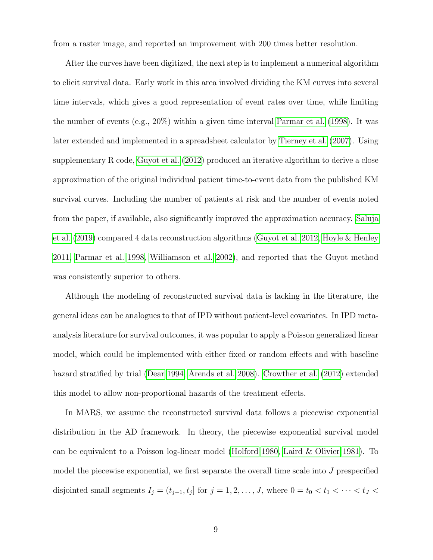from a raster image, and reported an improvement with 200 times better resolution.

After the curves have been digitized, the next step is to implement a numerical algorithm to elicit survival data. Early work in this area involved dividing the KM curves into several time intervals, which gives a good representation of event rates over time, while limiting the number of events (e.g.,  $20\%$ ) within a given time interval [Parmar et al.](#page-32-4) [\(1998\)](#page-32-4). It was later extended and implemented in a spreadsheet calculator by [Tierney et al.](#page-35-1) [\(2007\)](#page-35-1). Using supplementary R code, [Guyot et al.](#page-30-3) [\(2012\)](#page-30-3) produced an iterative algorithm to derive a close approximation of the original individual patient time-to-event data from the published KM survival curves. Including the number of patients at risk and the number of events noted from the paper, if available, also significantly improved the approximation accuracy. [Saluja](#page-34-5) [et al.](#page-34-5) [\(2019\)](#page-34-5) compared 4 data reconstruction algorithms [\(Guyot et al. 2012,](#page-30-3) [Hoyle & Henley](#page-31-3) [2011,](#page-31-3) [Parmar et al. 1998,](#page-32-4) [Williamson et al. 2002\)](#page-35-3), and reported that the Guyot method was consistently superior to others.

Although the modeling of reconstructed survival data is lacking in the literature, the general ideas can be analogues to that of IPD without patient-level covariates. In IPD metaanalysis literature for survival outcomes, it was popular to apply a Poisson generalized linear model, which could be implemented with either fixed or random effects and with baseline hazard stratified by trial [\(Dear 1994,](#page-30-1) [Arends et al. 2008\)](#page-29-2). [Crowther et al.](#page-29-5) [\(2012\)](#page-29-5) extended this model to allow non-proportional hazards of the treatment effects.

In MARS, we assume the reconstructed survival data follows a piecewise exponential distribution in the AD framework. In theory, the piecewise exponential survival model can be equivalent to a Poisson log-linear model [\(Holford 1980,](#page-31-4) [Laird & Olivier 1981\)](#page-32-5). To model the piecewise exponential, we first separate the overall time scale into  $J$  prespecified disjointed small segments  $I_j = (t_{j-1}, t_j]$  for  $j = 1, 2, \ldots, J$ , where  $0 = t_0 < t_1 < \cdots < t_J <$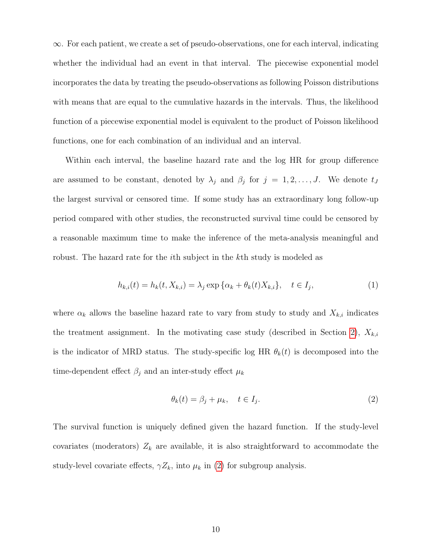$\infty$ . For each patient, we create a set of pseudo-observations, one for each interval, indicating whether the individual had an event in that interval. The piecewise exponential model incorporates the data by treating the pseudo-observations as following Poisson distributions with means that are equal to the cumulative hazards in the intervals. Thus, the likelihood function of a piecewise exponential model is equivalent to the product of Poisson likelihood functions, one for each combination of an individual and an interval.

Within each interval, the baseline hazard rate and the log HR for group difference are assumed to be constant, denoted by  $\lambda_j$  and  $\beta_j$  for  $j = 1, 2, \ldots, J$ . We denote  $t_j$ the largest survival or censored time. If some study has an extraordinary long follow-up period compared with other studies, the reconstructed survival time could be censored by a reasonable maximum time to make the inference of the meta-analysis meaningful and robust. The hazard rate for the *i*th subject in the *k*th study is modeled as

<span id="page-9-1"></span>
$$
h_{k,i}(t) = h_k(t, X_{k,i}) = \lambda_j \exp \{ \alpha_k + \theta_k(t) X_{k,i} \}, \quad t \in I_j,
$$
\n(1)

where  $\alpha_k$  allows the baseline hazard rate to vary from study to study and  $X_{k,i}$  indicates the treatment assignment. In the motivating case study (described in Section [2\)](#page-5-0),  $X_{k,i}$ is the indicator of MRD status. The study-specific log HR  $\theta_k(t)$  is decomposed into the time-dependent effect  $\beta_j$  and an inter-study effect  $\mu_k$ 

<span id="page-9-0"></span>
$$
\theta_k(t) = \beta_j + \mu_k, \quad t \in I_j. \tag{2}
$$

The survival function is uniquely defined given the hazard function. If the study-level covariates (moderators)  $Z_k$  are available, it is also straightforward to accommodate the study-level covariate effects,  $\gamma Z_k$ , into  $\mu_k$  in [\(2\)](#page-9-0) for subgroup analysis.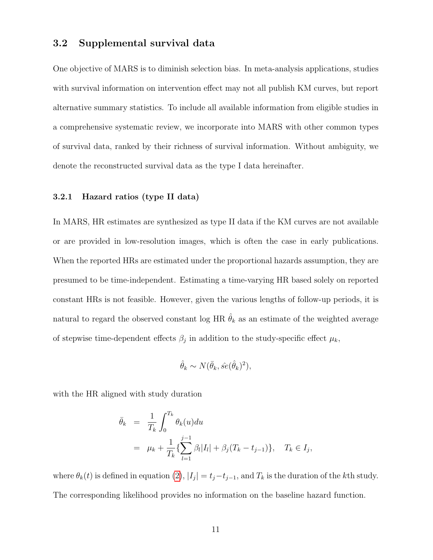#### 3.2 Supplemental survival data

One objective of MARS is to diminish selection bias. In meta-analysis applications, studies with survival information on intervention effect may not all publish KM curves, but report alternative summary statistics. To include all available information from eligible studies in a comprehensive systematic review, we incorporate into MARS with other common types of survival data, ranked by their richness of survival information. Without ambiguity, we denote the reconstructed survival data as the type I data hereinafter.

#### 3.2.1 Hazard ratios (type II data)

In MARS, HR estimates are synthesized as type II data if the KM curves are not available or are provided in low-resolution images, which is often the case in early publications. When the reported HRs are estimated under the proportional hazards assumption, they are presumed to be time-independent. Estimating a time-varying HR based solely on reported constant HRs is not feasible. However, given the various lengths of follow-up periods, it is natural to regard the observed constant log HR  $\hat{\theta}_k$  as an estimate of the weighted average of stepwise time-dependent effects  $\beta_j$  in addition to the study-specific effect  $\mu_k$ ,

$$
\hat{\theta}_k \sim N(\bar{\theta}_k, \hat{se}(\hat{\theta}_k)^2),
$$

with the HR aligned with study duration

$$
\begin{aligned}\n\bar{\theta}_k &= \frac{1}{T_k} \int_0^{T_k} \theta_k(u) du \\
&= \mu_k + \frac{1}{T_k} \{ \sum_{l=1}^{j-1} \beta_l |I_l| + \beta_j (T_k - t_{j-1}) \}, \quad T_k \in I_j,\n\end{aligned}
$$

where  $\theta_k(t)$  is defined in equation [\(2\)](#page-9-0),  $|I_j| = t_j - t_{j-1}$ , and  $T_k$  is the duration of the kth study. The corresponding likelihood provides no information on the baseline hazard function.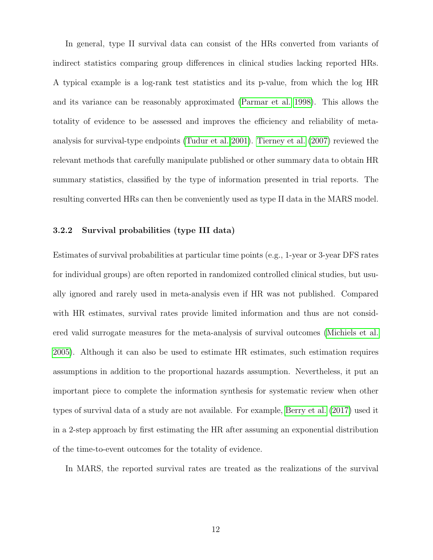In general, type II survival data can consist of the HRs converted from variants of indirect statistics comparing group differences in clinical studies lacking reported HRs. A typical example is a log-rank test statistics and its p-value, from which the log HR and its variance can be reasonably approximated [\(Parmar et al. 1998\)](#page-32-4). This allows the totality of evidence to be assessed and improves the efficiency and reliability of metaanalysis for survival-type endpoints [\(Tudur et al. 2001\)](#page-35-0). [Tierney et al.](#page-35-1) [\(2007\)](#page-35-1) reviewed the relevant methods that carefully manipulate published or other summary data to obtain HR summary statistics, classified by the type of information presented in trial reports. The resulting converted HRs can then be conveniently used as type II data in the MARS model.

#### 3.2.2 Survival probabilities (type III data)

Estimates of survival probabilities at particular time points (e.g., 1-year or 3-year DFS rates for individual groups) are often reported in randomized controlled clinical studies, but usually ignored and rarely used in meta-analysis even if HR was not published. Compared with HR estimates, survival rates provide limited information and thus are not considerered valid surrogate measures for the meta-analysis of survival outcomes [\(Michiels et al.](#page-32-6) [2005\)](#page-32-6). Although it can also be used to estimate HR estimates, such estimation requires assumptions in addition to the proportional hazards assumption. Nevertheless, it put an important piece to complete the information synthesis for systematic review when other types of survival data of a study are not available. For example, [Berry et al.](#page-29-4) [\(2017\)](#page-29-4) used it in a 2-step approach by first estimating the HR after assuming an exponential distribution of the time-to-event outcomes for the totality of evidence.

In MARS, the reported survival rates are treated as the realizations of the survival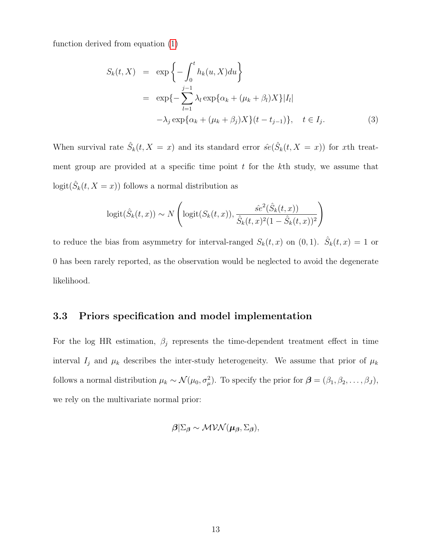function derived from equation [\(1\)](#page-9-1)

$$
S_k(t, X) = \exp\left\{-\int_0^t h_k(u, X) du\right\}
$$
  

$$
= \exp\left\{-\sum_{l=1}^{j-1} \lambda_l \exp\{\alpha_k + (\mu_k + \beta_l)X\} |I_l| -\lambda_j \exp\{\alpha_k + (\mu_k + \beta_j)X\}(t - t_{j-1})\}, \quad t \in I_j.
$$
 (3)

When survival rate  $\hat{S}_k(t, X = x)$  and its standard error  $\hat{se}(\hat{S}_k(t, X = x))$  for xth treatment group are provided at a specific time point  $t$  for the  $k$ <sup>th</sup> study, we assume that  $logit(\hat{S}_k(t, X = x))$  follows a normal distribution as

$$
logit(\hat{S}_k(t,x)) \sim N\left(logit(S_k(t,x)), \frac{\hat{se}^2(\hat{S}_k(t,x))}{\hat{S}_k(t,x)^2(1-\hat{S}_k(t,x))^2}\right)
$$

to reduce the bias from asymmetry for interval-ranged  $S_k(t, x)$  on  $(0, 1)$ .  $\hat{S}_k(t, x) = 1$  or 0 has been rarely reported, as the observation would be neglected to avoid the degenerate likelihood.

### 3.3 Priors specification and model implementation

For the log HR estimation,  $\beta_j$  represents the time-dependent treatment effect in time interval  $I_j$  and  $\mu_k$  describes the inter-study heterogeneity. We assume that prior of  $\mu_k$ follows a normal distribution  $\mu_k \sim \mathcal{N}(\mu_0, \sigma_\mu^2)$ . To specify the prior for  $\boldsymbol{\beta} = (\beta_1, \beta_2, \dots, \beta_J)$ , we rely on the multivariate normal prior:

$$
\boldsymbol{\beta}|\Sigma_{\boldsymbol{\beta}} \sim \mathcal{MVN}(\boldsymbol{\mu}_{\boldsymbol{\beta}}, \Sigma_{\boldsymbol{\beta}}),
$$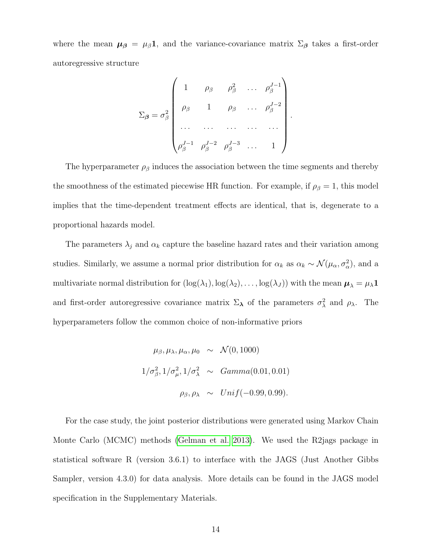where the mean  $\mu_{\beta} = \mu_{\beta} 1$ , and the variance-covariance matrix  $\Sigma_{\beta}$  takes a first-order autoregressive structure

$$
\Sigma_{\beta} = \sigma_{\beta}^{2} \begin{pmatrix} 1 & \rho_{\beta} & \rho_{\beta}^{2} & \dots & \rho_{\beta}^{J-1} \\ \vdots & \vdots & \ddots & \vdots & \vdots \\ \rho_{\beta}^{J-1} & \rho_{\beta}^{J-2} & \rho_{\beta}^{J-3} & \dots & 1 \end{pmatrix}
$$

.

The hyperparameter  $\rho_{\beta}$  induces the association between the time segments and thereby the smoothness of the estimated piecewise HR function. For example, if  $\rho_{\beta} = 1$ , this model implies that the time-dependent treatment effects are identical, that is, degenerate to a proportional hazards model.

The parameters  $\lambda_j$  and  $\alpha_k$  capture the baseline hazard rates and their variation among studies. Similarly, we assume a normal prior distribution for  $\alpha_k$  as  $\alpha_k \sim \mathcal{N}(\mu_\alpha, \sigma_\alpha^2)$ , and a multivariate normal distribution for  $(log(\lambda_1), log(\lambda_2), \ldots, log(\lambda_J))$  with the mean  $\mu_\lambda = \mu_\lambda \mathbf{1}$ and first-order autoregressive covariance matrix  $\Sigma_{\lambda}$  of the parameters  $\sigma_{\lambda}^2$  and  $\rho_{\lambda}$ . The hyperparameters follow the common choice of non-informative priors

$$
\mu_{\beta}, \mu_{\lambda}, \mu_{\alpha}, \mu_{0} \sim \mathcal{N}(0, 1000)
$$
  

$$
1/\sigma_{\beta}^{2}, 1/\sigma_{\mu}^{2}, 1/\sigma_{\lambda}^{2} \sim Gamma(0.01, 0.01)
$$
  

$$
\rho_{\beta}, \rho_{\lambda} \sim Unif(-0.99, 0.99).
$$

For the case study, the joint posterior distributions were generated using Markov Chain Monte Carlo (MCMC) methods [\(Gelman et al. 2013\)](#page-30-4). We used the R2jags package in statistical software R (version 3.6.1) to interface with the JAGS (Just Another Gibbs Sampler, version 4.3.0) for data analysis. More details can be found in the JAGS model specification in the Supplementary Materials.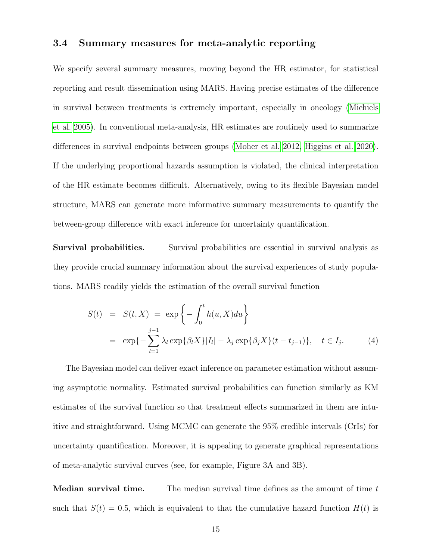### <span id="page-14-0"></span>3.4 Summary measures for meta-analytic reporting

We specify several summary measures, moving beyond the HR estimator, for statistical reporting and result dissemination using MARS. Having precise estimates of the difference in survival between treatments is extremely important, especially in oncology [\(Michiels](#page-32-6) [et al. 2005\)](#page-32-6). In conventional meta-analysis, HR estimates are routinely used to summarize differences in survival endpoints between groups [\(Moher et al. 2012,](#page-32-2) [Higgins et al. 2020\)](#page-31-0). If the underlying proportional hazards assumption is violated, the clinical interpretation of the HR estimate becomes difficult. Alternatively, owing to its flexible Bayesian model structure, MARS can generate more informative summary measurements to quantify the between-group difference with exact inference for uncertainty quantification.

Survival probabilities. Survival probabilities are essential in survival analysis as they provide crucial summary information about the survival experiences of study populations. MARS readily yields the estimation of the overall survival function

$$
S(t) = S(t, X) = \exp \left\{-\int_0^t h(u, X) du\right\}
$$
  
=  $\exp\{-\sum_{l=1}^{j-1} \lambda_l \exp\{\beta_l X\} |I_l| - \lambda_j \exp\{\beta_j X\} (t - t_{j-1})\}, \quad t \in I_j.$  (4)

The Bayesian model can deliver exact inference on parameter estimation without assuming asymptotic normality. Estimated survival probabilities can function similarly as KM estimates of the survival function so that treatment effects summarized in them are intuitive and straightforward. Using MCMC can generate the 95% credible intervals (CrIs) for uncertainty quantification. Moreover, it is appealing to generate graphical representations of meta-analytic survival curves (see, for example, Figure 3A and 3B).

**Median survival time.** The median survival time defines as the amount of time  $t$ such that  $S(t) = 0.5$ , which is equivalent to that the cumulative hazard function  $H(t)$  is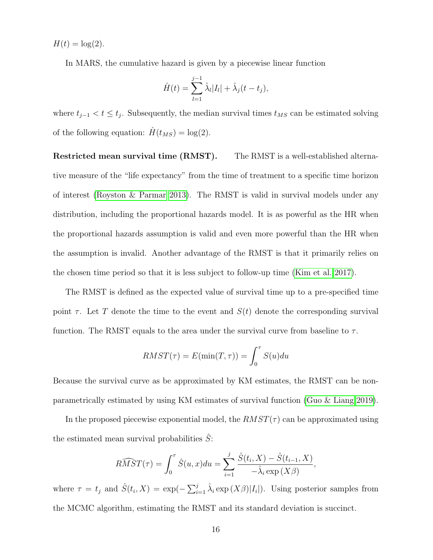$H(t) = \log(2)$ .

In MARS, the cumulative hazard is given by a piecewise linear function

$$
\hat{H}(t) = \sum_{l=1}^{j-1} \hat{\lambda}_l |I_l| + \hat{\lambda}_j (t - t_j),
$$

where  $t_{j-1} < t \leq t_j$ . Subsequently, the median survival times  $t_{MS}$  can be estimated solving of the following equation:  $\hat{H}(t_{MS}) = \log(2)$ .

Restricted mean survival time (RMST). The RMST is a well-established alternative measure of the "life expectancy" from the time of treatment to a specific time horizon of interest [\(Royston & Parmar 2013\)](#page-34-6). The RMST is valid in survival models under any distribution, including the proportional hazards model. It is as powerful as the HR when the proportional hazards assumption is valid and even more powerful than the HR when the assumption is invalid. Another advantage of the RMST is that it primarily relies on the chosen time period so that it is less subject to follow-up time [\(Kim et al. 2017\)](#page-31-5).

The RMST is defined as the expected value of survival time up to a pre-specified time point  $\tau$ . Let T denote the time to the event and  $S(t)$  denote the corresponding survival function. The RMST equals to the area under the survival curve from baseline to  $\tau$ .

$$
RMST(\tau) = E(\min(T, \tau)) = \int_0^{\tau} S(u) du
$$

Because the survival curve as be approximated by KM estimates, the RMST can be nonparametrically estimated by using KM estimates of survival function [\(Guo & Liang 2019\)](#page-30-5).

In the proposed piecewise exponential model, the  $RMST(\tau)$  can be approximated using the estimated mean survival probabilities  $\hat{S}$ :

$$
\widehat{RMST}(\tau) = \int_0^\tau \hat{S}(u, x) du = \sum_{i=1}^j \frac{\hat{S}(t_i, X) - \hat{S}(t_{i-1}, X)}{-\hat{\lambda}_i \exp(X\beta)},
$$

where  $\tau = t_j$  and  $\hat{S}(t_i, X) = \exp(-\sum_{i=1}^j \hat{\lambda}_i \exp(X\beta)|I_i|)$ . Using posterior samples from the MCMC algorithm, estimating the RMST and its standard deviation is succinct.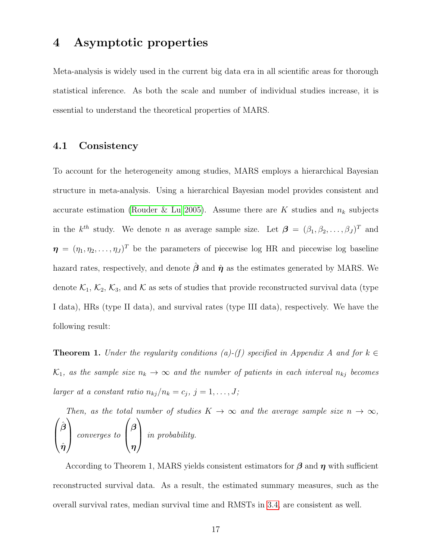### 4 Asymptotic properties

Meta-analysis is widely used in the current big data era in all scientific areas for thorough statistical inference. As both the scale and number of individual studies increase, it is essential to understand the theoretical properties of MARS.

### 4.1 Consistency

To account for the heterogeneity among studies, MARS employs a hierarchical Bayesian structure in meta-analysis. Using a hierarchical Bayesian model provides consistent and accurate estimation [\(Rouder & Lu 2005\)](#page-33-5). Assume there are K studies and  $n_k$  subjects in the  $k^{th}$  study. We denote n as average sample size. Let  $\boldsymbol{\beta} = (\beta_1, \beta_2, \dots, \beta_J)^T$  and  $\boldsymbol{\eta} = (\eta_1, \eta_2, \dots, \eta_J)^T$  be the parameters of piecewise log HR and piecewise log baseline hazard rates, respectively, and denote  $\hat{\beta}$  and  $\hat{\eta}$  as the estimates generated by MARS. We denote  $\mathcal{K}_1$ ,  $\mathcal{K}_2$ ,  $\mathcal{K}_3$ , and  $\mathcal{K}$  as sets of studies that provide reconstructed survival data (type I data), HRs (type II data), and survival rates (type III data), respectively. We have the following result:

**Theorem 1.** Under the regularity conditions (a)-(f) specified in Appendix A and for  $k \in$  $\mathcal{K}_1$ , as the sample size  $n_k \to \infty$  and the number of patients in each interval  $n_{kj}$  becomes larger at a constant ratio  $n_{kj}/n_k = c_j$ ,  $j = 1, ..., J;$ 

Then, as the total number of studies  $K \to \infty$  and the average sample size  $n \to \infty$ ,  $\sqrt{ }$  $\overline{ }$  $\hat{\boldsymbol{\beta}}$  $\hat{\bm{\eta}}$  $\setminus$  converges to  $\sqrt{ }$  $\overline{ }$  $\beta$ η  $\setminus$ in probability.

According to Theorem 1, MARS yields consistent estimators for  $\beta$  and  $\eta$  with sufficient reconstructed survival data. As a result, the estimated summary measures, such as the overall survival rates, median survival time and RMSTs in [3.4,](#page-14-0) are consistent as well.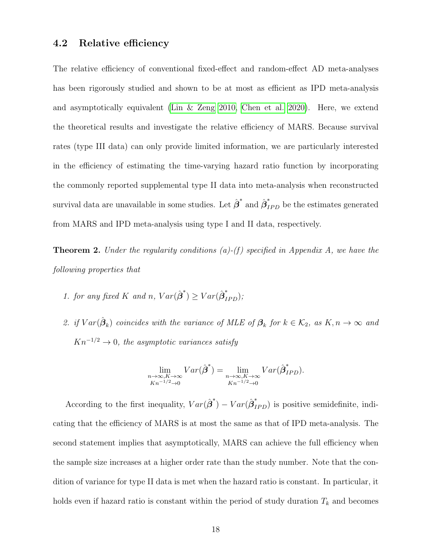#### 4.2 Relative efficiency

The relative efficiency of conventional fixed-effect and random-effect AD meta-analyses has been rigorously studied and shown to be at most as efficient as IPD meta-analysis and asymptotically equivalent [\(Lin & Zeng 2010,](#page-32-7) [Chen et al. 2020\)](#page-29-6). Here, we extend the theoretical results and investigate the relative efficiency of MARS. Because survival rates (type III data) can only provide limited information, we are particularly interested in the efficiency of estimating the time-varying hazard ratio function by incorporating the commonly reported supplemental type II data into meta-analysis when reconstructed survival data are unavailable in some studies. Let  $\hat{\boldsymbol{\beta}}^*$  and  $\hat{\boldsymbol{\beta}}^*_{IPD}$  be the estimates generated from MARS and IPD meta-analysis using type I and II data, respectively.

**Theorem 2.** Under the regularity conditions (a)-(f) specified in Appendix A, we have the following properties that

- 1. for any fixed K and n,  $Var(\hat{\beta}^*) \geq Var(\hat{\beta}_{IPD}^*)$ ;
- 2. if  $Var(\hat{\boldsymbol{\beta}}_k)$  coincides with the variance of MLE of  $\boldsymbol{\beta}_k$  for  $k \in \mathcal{K}_2$ , as  $K, n \to \infty$  and  $Kn^{-1/2} \to 0$ , the asymptotic variances satisfy

$$
\lim_{\substack{n \to \infty, K \to \infty \\ Kn^{-1/2} \to 0}} Var(\hat{\beta}^*) = \lim_{\substack{n \to \infty, K \to \infty \\ Kn^{-1/2} \to 0}} Var(\hat{\beta}_{IPD}^*).
$$

According to the first inequality,  $Var(\hat{\boldsymbol{\beta}}^*) - Var(\hat{\boldsymbol{\beta}}^*_{IPD})$  is positive semidefinite, indicating that the efficiency of MARS is at most the same as that of IPD meta-analysis. The second statement implies that asymptotically, MARS can achieve the full efficiency when the sample size increases at a higher order rate than the study number. Note that the condition of variance for type II data is met when the hazard ratio is constant. In particular, it holds even if hazard ratio is constant within the period of study duration  $T_k$  and becomes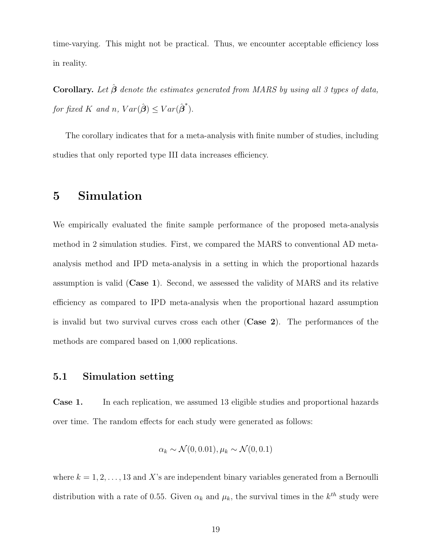time-varying. This might not be practical. Thus, we encounter acceptable efficiency loss in reality.

Corollary. Let  $\hat{\boldsymbol{\beta}}$  denote the estimates generated from MARS by using all 3 types of data, for fixed K and n,  $Var(\hat{\boldsymbol{\beta}}) \leq Var(\hat{\boldsymbol{\beta}}^*)$ .

The corollary indicates that for a meta-analysis with finite number of studies, including studies that only reported type III data increases efficiency.

# 5 Simulation

We empirically evaluated the finite sample performance of the proposed meta-analysis method in 2 simulation studies. First, we compared the MARS to conventional AD metaanalysis method and IPD meta-analysis in a setting in which the proportional hazards assumption is valid (Case 1). Second, we assessed the validity of MARS and its relative efficiency as compared to IPD meta-analysis when the proportional hazard assumption is invalid but two survival curves cross each other (Case 2). The performances of the methods are compared based on 1,000 replications.

### 5.1 Simulation setting

Case 1. In each replication, we assumed 13 eligible studies and proportional hazards over time. The random effects for each study were generated as follows:

$$
\alpha_k \sim \mathcal{N}(0, 0.01), \mu_k \sim \mathcal{N}(0, 0.1)
$$

where  $k = 1, 2, \ldots, 13$  and X's are independent binary variables generated from a Bernoulli distribution with a rate of 0.55. Given  $\alpha_k$  and  $\mu_k$ , the survival times in the  $k^{th}$  study were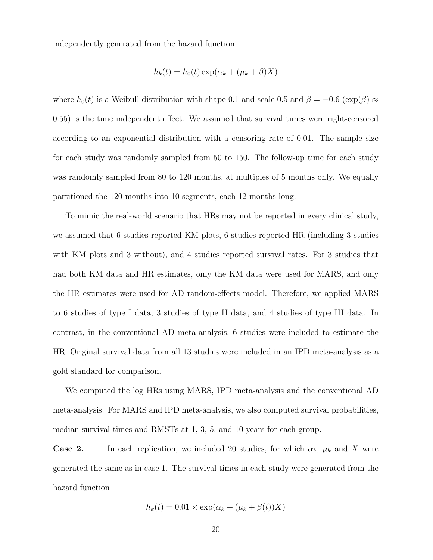independently generated from the hazard function

$$
h_k(t) = h_0(t) \exp(\alpha_k + (\mu_k + \beta)X)
$$

where  $h_0(t)$  is a Weibull distribution with shape 0.1 and scale 0.5 and  $\beta = -0.6$  (exp( $\beta$ ) ≈ 0.55) is the time independent effect. We assumed that survival times were right-censored according to an exponential distribution with a censoring rate of 0.01. The sample size for each study was randomly sampled from 50 to 150. The follow-up time for each study was randomly sampled from 80 to 120 months, at multiples of 5 months only. We equally partitioned the 120 months into 10 segments, each 12 months long.

To mimic the real-world scenario that HRs may not be reported in every clinical study, we assumed that 6 studies reported KM plots, 6 studies reported HR (including 3 studies with KM plots and 3 without), and 4 studies reported survival rates. For 3 studies that had both KM data and HR estimates, only the KM data were used for MARS, and only the HR estimates were used for AD random-effects model. Therefore, we applied MARS to 6 studies of type I data, 3 studies of type II data, and 4 studies of type III data. In contrast, in the conventional AD meta-analysis, 6 studies were included to estimate the HR. Original survival data from all 13 studies were included in an IPD meta-analysis as a gold standard for comparison.

We computed the log HRs using MARS, IPD meta-analysis and the conventional AD meta-analysis. For MARS and IPD meta-analysis, we also computed survival probabilities, median survival times and RMSTs at 1, 3, 5, and 10 years for each group.

**Case 2.** In each replication, we included 20 studies, for which  $\alpha_k$ ,  $\mu_k$  and X were generated the same as in case 1. The survival times in each study were generated from the hazard function

$$
h_k(t) = 0.01 \times \exp(\alpha_k + (\mu_k + \beta(t))X)
$$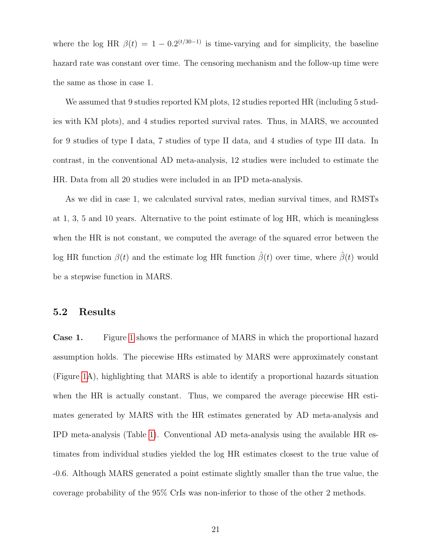where the log HR  $\beta(t) = 1 - 0.2^{(t/30-1)}$  is time-varying and for simplicity, the baseline hazard rate was constant over time. The censoring mechanism and the follow-up time were the same as those in case 1.

We assumed that 9 studies reported KM plots, 12 studies reported HR (including 5 studies with KM plots), and 4 studies reported survival rates. Thus, in MARS, we accounted for 9 studies of type I data, 7 studies of type II data, and 4 studies of type III data. In contrast, in the conventional AD meta-analysis, 12 studies were included to estimate the HR. Data from all 20 studies were included in an IPD meta-analysis.

As we did in case 1, we calculated survival rates, median survival times, and RMSTs at 1, 3, 5 and 10 years. Alternative to the point estimate of log HR, which is meaningless when the HR is not constant, we computed the average of the squared error between the log HR function  $\beta(t)$  and the estimate log HR function  $\hat{\beta}(t)$  over time, where  $\hat{\beta}(t)$  would be a stepwise function in MARS.

### 5.2 Results

Case 1. Figure [1](#page-22-0) shows the performance of MARS in which the proportional hazard assumption holds. The piecewise HRs estimated by MARS were approximately constant (Figure [1A](#page-22-0)), highlighting that MARS is able to identify a proportional hazards situation when the HR is actually constant. Thus, we compared the average piecewise HR estimates generated by MARS with the HR estimates generated by AD meta-analysis and IPD meta-analysis (Table [1\)](#page-21-0). Conventional AD meta-analysis using the available HR estimates from individual studies yielded the log HR estimates closest to the true value of -0.6. Although MARS generated a point estimate slightly smaller than the true value, the coverage probability of the 95% CrIs was non-inferior to those of the other 2 methods.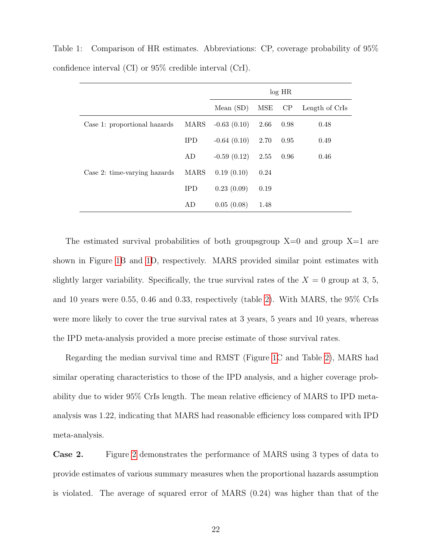|                              |            | $log$ HR      |      |      |                |  |  |
|------------------------------|------------|---------------|------|------|----------------|--|--|
|                              |            | Mean $(SD)$   | MSE  | CP   | Length of CrIs |  |  |
| Case 1: proportional hazards | MARS       | $-0.63(0.10)$ | 2.66 | 0.98 | 0.48           |  |  |
|                              | <b>IPD</b> | $-0.64(0.10)$ | 2.70 | 0.95 | 0.49           |  |  |
|                              | AD         | $-0.59(0.12)$ | 2.55 | 0.96 | 0.46           |  |  |
| Case 2: time-varying hazards | MARS       | 0.19(0.10)    | 0.24 |      |                |  |  |
|                              | <b>IPD</b> | 0.23(0.09)    | 0.19 |      |                |  |  |
|                              | AD         | 0.05(0.08)    | 1.48 |      |                |  |  |

<span id="page-21-0"></span>Table 1: Comparison of HR estimates. Abbreviations: CP, coverage probability of 95% confidence interval (CI) or 95% credible interval (CrI).

The estimated survival probabilities of both groupsgroup  $X=0$  and group  $X=1$  are shown in Figure [1B](#page-22-0) and [1D](#page-22-0), respectively. MARS provided similar point estimates with slightly larger variability. Specifically, the true survival rates of the  $X = 0$  group at 3, 5, and 10 years were 0.55, 0.46 and 0.33, respectively (table [2\)](#page-23-0). With MARS, the 95% CrIs were more likely to cover the true survival rates at 3 years, 5 years and 10 years, whereas the IPD meta-analysis provided a more precise estimate of those survival rates.

Regarding the median survival time and RMST (Figure [1C](#page-22-0) and Table [2\)](#page-23-0), MARS had similar operating characteristics to those of the IPD analysis, and a higher coverage probability due to wider 95% CrIs length. The mean relative efficiency of MARS to IPD metaanalysis was 1.22, indicating that MARS had reasonable efficiency loss compared with IPD meta-analysis.

Case 2. Figure [2](#page-24-0) demonstrates the performance of MARS using 3 types of data to provide estimates of various summary measures when the proportional hazards assumption is violated. The average of squared error of MARS (0.24) was higher than that of the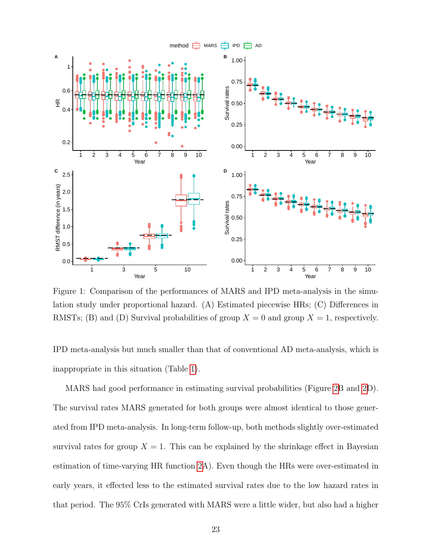

<span id="page-22-0"></span>Figure 1: Comparison of the performances of MARS and IPD meta-analysis in the simulation study under proportional hazard. (A) Estimated piecewise HRs; (C) Differences in RMSTs; (B) and (D) Survival probabilities of group  $X = 0$  and group  $X = 1$ , respectively.

IPD meta-analysis but much smaller than that of conventional AD meta-analysis, which is inappropriate in this situation (Table [1\)](#page-21-0).

MARS had good performance in estimating survival probabilities (Figure [2B](#page-24-0) and [2D](#page-24-0)). The survival rates MARS generated for both groups were almost identical to those generated from IPD meta-analysis. In long-term follow-up, both methods slightly over-estimated survival rates for group  $X = 1$ . This can be explained by the shrinkage effect in Bayesian estimation of time-varying HR function [2A](#page-24-0)). Even though the HRs were over-estimated in early years, it effected less to the estimated survival rates due to the low hazard rates in that period. The 95% CrIs generated with MARS were a little wider, but also had a higher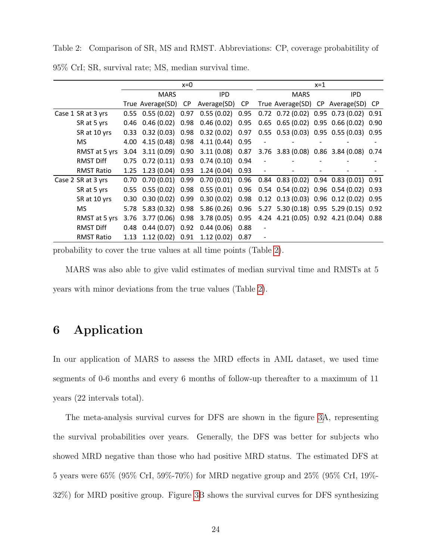<span id="page-23-0"></span>Table 2: Comparison of SR, MS and RMST. Abbreviations: CP, coverage probabitility of

|                    | $x=0$       |                               |            |                                                                          | $x=1$       |  |      |  |                                                      |  |
|--------------------|-------------|-------------------------------|------------|--------------------------------------------------------------------------|-------------|--|------|--|------------------------------------------------------|--|
|                    | <b>MARS</b> |                               | <b>IPD</b> |                                                                          | <b>MARS</b> |  | IPD. |  |                                                      |  |
|                    |             |                               |            | True Average(SD) CP Average(SD) CP                                       |             |  |      |  | True Average(SD) CP Average(SD) CP                   |  |
| Case 1 SR at 3 yrs |             | $0.55$ $0.55$ $(0.02)$ $0.97$ |            | $0.55(0.02)$ 0.95                                                        |             |  |      |  | $0.72$ $0.72$ $(0.02)$ $0.95$ $0.73$ $(0.02)$ $0.91$ |  |
| SR at 5 yrs        | 0.46        | $0.46(0.02)$ 0.98             |            | $0.46(0.02)$ 0.95                                                        |             |  |      |  | 0.65 0.65 (0.02) 0.95 0.66 (0.02) 0.90               |  |
| SR at 10 yrs       | 0.33        | $0.32(0.03)$ 0.98             |            | $0.32(0.02)$ 0.97                                                        |             |  |      |  | 0.55 0.53 (0.03) 0.95 0.55 (0.03) 0.95               |  |
| MS.                | 4.00        | 4.15 (0.48) 0.98              |            | 4.11 (0.44) 0.95                                                         |             |  |      |  |                                                      |  |
| RMST at 5 yrs      | 3.04        |                               |            | 3.11 (0.09) 0.90 3.11 (0.08) 0.87 3.76 3.83 (0.08) 0.86 3.84 (0.08) 0.74 |             |  |      |  |                                                      |  |
| <b>RMST Diff</b>   | 0.75        | $0.72(0.11)$ 0.93             |            | $0.74(0.10)$ 0.94                                                        |             |  |      |  |                                                      |  |
| <b>RMST Ratio</b>  |             | 1.25 1.23 (0.04) 0.93         |            | $1.24(0.04)$ 0.93                                                        |             |  |      |  |                                                      |  |
| Case 2 SR at 3 yrs | 0.70        | $0.70(0.01)$ 0.99             |            | $0.70(0.01)$ 0.96                                                        |             |  |      |  | $0.84$ $0.83$ $(0.02)$ $0.94$ $0.83$ $(0.01)$ $0.91$ |  |
| SR at 5 yrs        | 0.55        | $0.55(0.02)$ 0.98             |            | $0.55(0.01)$ 0.96                                                        |             |  |      |  | 0.54 0.54 (0.02) 0.96 0.54 (0.02) 0.93               |  |
| SR at 10 yrs       | 0.30        | $0.30(0.02)$ 0.99             |            | $0.30(0.02)$ 0.98                                                        |             |  |      |  | $0.12$ $0.13$ $(0.03)$ $0.96$ $0.12$ $(0.02)$ $0.95$ |  |
| MS.                | 5.78        | 5.83 (0.32) 0.98              |            | 5.86 (0.26) 0.96                                                         |             |  |      |  | 5.27 5.30 (0.18) 0.95 5.29 (0.15) 0.92               |  |
| RMST at 5 yrs      | 3.76        |                               |            | 3.77 (0.06) 0.98 3.78 (0.05) 0.95 4.24 4.21 (0.05) 0.92 4.21 (0.04) 0.88 |             |  |      |  |                                                      |  |
| <b>RMST Diff</b>   | 0.48        | $0.44(0.07)$ 0.92             |            | $0.44(0.06)$ 0.88                                                        |             |  |      |  |                                                      |  |
| <b>RMST Ratio</b>  | 1.13        | $1.12(0.02)$ 0.91             |            | 1.12(0.02)                                                               | 0.87        |  |      |  |                                                      |  |

95% CrI; SR, survival rate; MS, median survival time.

probability to cover the true values at all time points (Table [2\)](#page-23-0).

MARS was also able to give valid estimates of median survival time and RMSTs at 5 years with minor deviations from the true values (Table [2\)](#page-23-0).

# 6 Application

In our application of MARS to assess the MRD effects in AML dataset, we used time segments of 0-6 months and every 6 months of follow-up thereafter to a maximum of 11 years (22 intervals total).

The meta-analysis survival curves for DFS are shown in the figure [3A](#page-25-0), representing the survival probabilities over years. Generally, the DFS was better for subjects who showed MRD negative than those who had positive MRD status. The estimated DFS at 5 years were 65% (95% CrI, 59%-70%) for MRD negative group and 25% (95% CrI, 19%- 32%) for MRD positive group. Figure [3B](#page-25-0) shows the survival curves for DFS synthesizing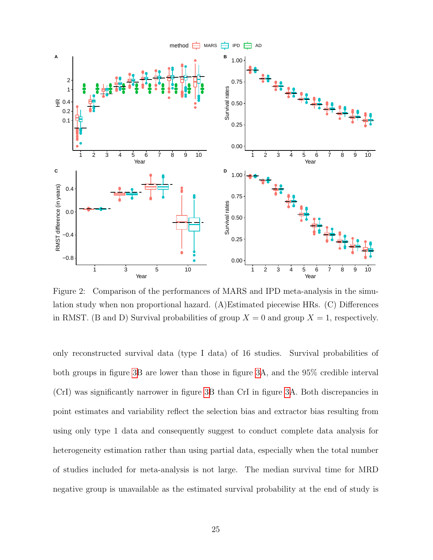

<span id="page-24-0"></span>Figure 2: Comparison of the performances of MARS and IPD meta-analysis in the simulation study when non proportional hazard. (A)Estimated piecewise HRs. (C) Differences in RMST. (B and D) Survival probabilities of group  $X = 0$  and group  $X = 1$ , respectively.

only reconstructed survival data (type I data) of 16 studies. Survival probabilities of both groups in figure [3B](#page-25-0) are lower than those in figure [3A](#page-25-0), and the 95% credible interval (CrI) was significantly narrower in figure [3B](#page-25-0) than CrI in figure [3A](#page-25-0). Both discrepancies in point estimates and variability reflect the selection bias and extractor bias resulting from using only type 1 data and consequently suggest to conduct complete data analysis for heterogeneity estimation rather than using partial data, especially when the total number of studies included for meta-analysis is not large. The median survival time for MRD negative group is unavailable as the estimated survival probability at the end of study is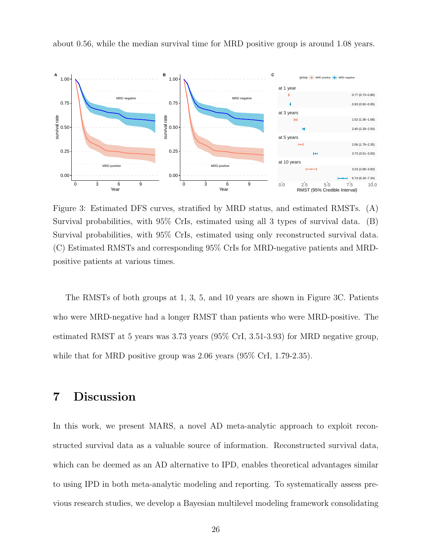

about 0.56, while the median survival time for MRD positive group is around 1.08 years.

<span id="page-25-0"></span>Figure 3: Estimated DFS curves, stratified by MRD status, and estimated RMSTs. (A) Survival probabilities, with 95% CrIs, estimated using all 3 types of survival data. (B) Survival probabilities, with 95% CrIs, estimated using only reconstructed survival data. (C) Estimated RMSTs and corresponding 95% CrIs for MRD-negative patients and MRDpositive patients at various times.

The RMSTs of both groups at 1, 3, 5, and 10 years are shown in Figure 3C. Patients who were MRD-negative had a longer RMST than patients who were MRD-positive. The estimated RMST at 5 years was 3.73 years (95% CrI, 3.51-3.93) for MRD negative group, while that for MRD positive group was 2.06 years (95% CrI, 1.79-2.35).

# 7 Discussion

In this work, we present MARS, a novel AD meta-analytic approach to exploit reconstructed survival data as a valuable source of information. Reconstructed survival data, which can be deemed as an AD alternative to IPD, enables theoretical advantages similar to using IPD in both meta-analytic modeling and reporting. To systematically assess previous research studies, we develop a Bayesian multilevel modeling framework consolidating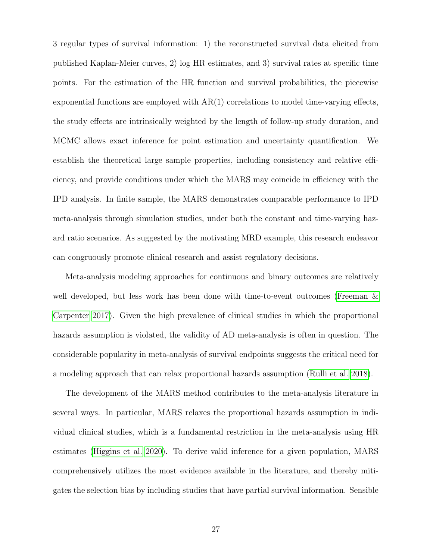3 regular types of survival information: 1) the reconstructed survival data elicited from published Kaplan-Meier curves, 2) log HR estimates, and 3) survival rates at specific time points. For the estimation of the HR function and survival probabilities, the piecewise exponential functions are employed with  $AR(1)$  correlations to model time-varying effects, the study effects are intrinsically weighted by the length of follow-up study duration, and MCMC allows exact inference for point estimation and uncertainty quantification. We establish the theoretical large sample properties, including consistency and relative efficiency, and provide conditions under which the MARS may coincide in efficiency with the IPD analysis. In finite sample, the MARS demonstrates comparable performance to IPD meta-analysis through simulation studies, under both the constant and time-varying hazard ratio scenarios. As suggested by the motivating MRD example, this research endeavor can congruously promote clinical research and assist regulatory decisions.

Meta-analysis modeling approaches for continuous and binary outcomes are relatively well developed, but less work has been done with time-to-event outcomes [\(Freeman &](#page-30-6) [Carpenter 2017\)](#page-30-6). Given the high prevalence of clinical studies in which the proportional hazards assumption is violated, the validity of AD meta-analysis is often in question. The considerable popularity in meta-analysis of survival endpoints suggests the critical need for a modeling approach that can relax proportional hazards assumption [\(Rulli et al. 2018\)](#page-34-2).

The development of the MARS method contributes to the meta-analysis literature in several ways. In particular, MARS relaxes the proportional hazards assumption in individual clinical studies, which is a fundamental restriction in the meta-analysis using HR estimates [\(Higgins et al. 2020\)](#page-31-0). To derive valid inference for a given population, MARS comprehensively utilizes the most evidence available in the literature, and thereby mitigates the selection bias by including studies that have partial survival information. Sensible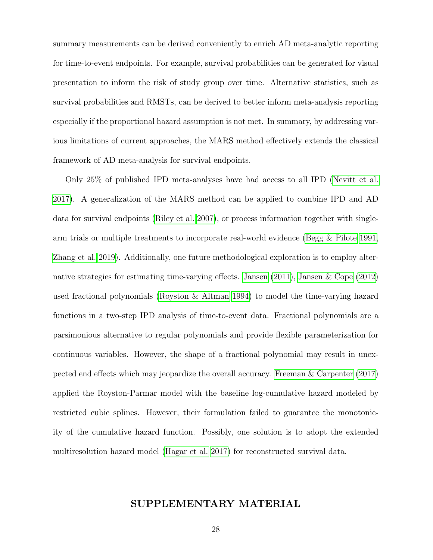summary measurements can be derived conveniently to enrich AD meta-analytic reporting for time-to-event endpoints. For example, survival probabilities can be generated for visual presentation to inform the risk of study group over time. Alternative statistics, such as survival probabilities and RMSTs, can be derived to better inform meta-analysis reporting especially if the proportional hazard assumption is not met. In summary, by addressing various limitations of current approaches, the MARS method effectively extends the classical framework of AD meta-analysis for survival endpoints.

Only 25% of published IPD meta-analyses have had access to all IPD [\(Nevitt et al.](#page-32-1) [2017\)](#page-32-1). A generalization of the MARS method can be applied to combine IPD and AD data for survival endpoints [\(Riley et al. 2007\)](#page-33-1), or process information together with singlearm trials or multiple treatments to incorporate real-world evidence [\(Begg & Pilote 1991,](#page-29-7) [Zhang et al. 2019\)](#page-35-4). Additionally, one future methodological exploration is to employ alternative strategies for estimating time-varying effects. [Jansen](#page-31-6) [\(2011\)](#page-31-6), [Jansen & Cope](#page-31-7) [\(2012\)](#page-31-7) used fractional polynomials [\(Royston & Altman 1994\)](#page-33-6) to model the time-varying hazard functions in a two-step IPD analysis of time-to-event data. Fractional polynomials are a parsimonious alternative to regular polynomials and provide flexible parameterization for continuous variables. However, the shape of a fractional polynomial may result in unexpected end effects which may jeopardize the overall accuracy. [Freeman & Carpenter](#page-30-6) [\(2017\)](#page-30-6) applied the Royston-Parmar model with the baseline log-cumulative hazard modeled by restricted cubic splines. However, their formulation failed to guarantee the monotonicity of the cumulative hazard function. Possibly, one solution is to adopt the extended multiresolution hazard model [\(Hagar et al. 2017\)](#page-30-7) for reconstructed survival data.

### SUPPLEMENTARY MATERIAL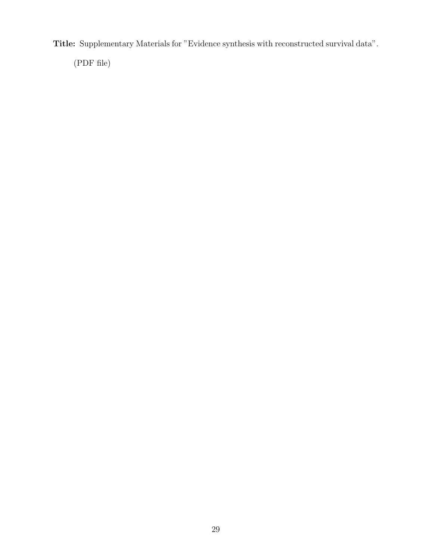Title: Supplementary Materials for "Evidence synthesis with reconstructed survival data".

(PDF file)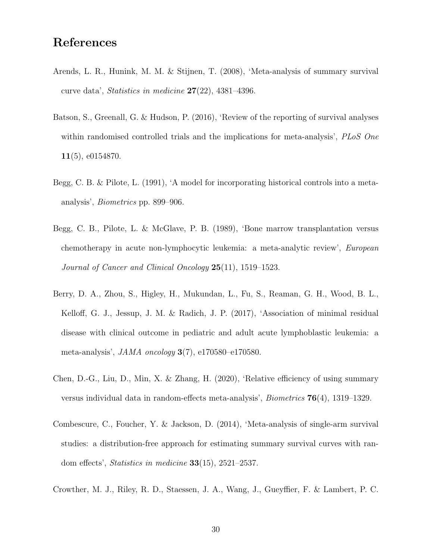# References

- <span id="page-29-2"></span>Arends, L. R., Hunink, M. M. & Stijnen, T. (2008), 'Meta-analysis of summary survival curve data', Statistics in medicine  $27(22)$ , 4381-4396.
- <span id="page-29-0"></span>Batson, S., Greenall, G. & Hudson, P. (2016), 'Review of the reporting of survival analyses within randomised controlled trials and the implications for meta-analysis', PLoS One 11(5), e0154870.
- <span id="page-29-7"></span>Begg, C. B. & Pilote, L. (1991), 'A model for incorporating historical controls into a metaanalysis', Biometrics pp. 899–906.
- <span id="page-29-1"></span>Begg, C. B., Pilote, L. & McGlave, P. B. (1989), 'Bone marrow transplantation versus chemotherapy in acute non-lymphocytic leukemia: a meta-analytic review', European Journal of Cancer and Clinical Oncology 25(11), 1519–1523.
- <span id="page-29-4"></span>Berry, D. A., Zhou, S., Higley, H., Mukundan, L., Fu, S., Reaman, G. H., Wood, B. L., Kelloff, G. J., Jessup, J. M. & Radich, J. P. (2017), 'Association of minimal residual disease with clinical outcome in pediatric and adult acute lymphoblastic leukemia: a meta-analysis',  $JAMA$  oncology  $3(7)$ , e170580–e170580.
- <span id="page-29-6"></span>Chen, D.-G., Liu, D., Min, X. & Zhang, H. (2020), 'Relative efficiency of using summary versus individual data in random-effects meta-analysis', Biometrics 76(4), 1319–1329.
- <span id="page-29-3"></span>Combescure, C., Foucher, Y. & Jackson, D. (2014), 'Meta-analysis of single-arm survival studies: a distribution-free approach for estimating summary survival curves with random effects', Statistics in medicine 33(15), 2521–2537.
- <span id="page-29-5"></span>Crowther, M. J., Riley, R. D., Staessen, J. A., Wang, J., Gueyffier, F. & Lambert, P. C.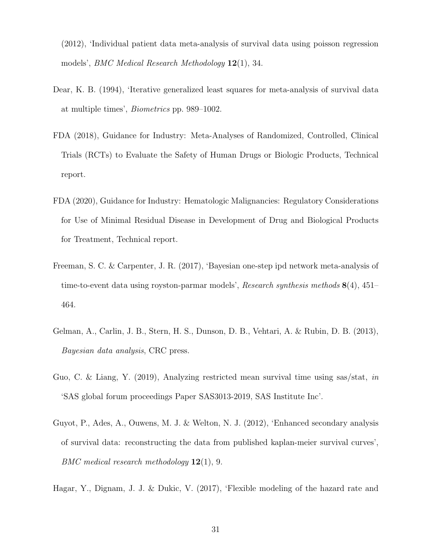(2012), 'Individual patient data meta-analysis of survival data using poisson regression models', BMC Medical Research Methodology 12(1), 34.

- <span id="page-30-1"></span>Dear, K. B. (1994), 'Iterative generalized least squares for meta-analysis of survival data at multiple times', Biometrics pp. 989–1002.
- <span id="page-30-0"></span>FDA (2018), Guidance for Industry: Meta-Analyses of Randomized, Controlled, Clinical Trials (RCTs) to Evaluate the Safety of Human Drugs or Biologic Products, Technical report.
- <span id="page-30-2"></span>FDA (2020), Guidance for Industry: Hematologic Malignancies: Regulatory Considerations for Use of Minimal Residual Disease in Development of Drug and Biological Products for Treatment, Technical report.
- <span id="page-30-6"></span>Freeman, S. C. & Carpenter, J. R. (2017), 'Bayesian one-step ipd network meta-analysis of time-to-event data using royston-parmar models', Research synthesis methods  $8(4)$ , 451– 464.
- <span id="page-30-4"></span>Gelman, A., Carlin, J. B., Stern, H. S., Dunson, D. B., Vehtari, A. & Rubin, D. B. (2013), Bayesian data analysis, CRC press.
- <span id="page-30-5"></span>Guo, C. & Liang, Y. (2019), Analyzing restricted mean survival time using sas/stat, in 'SAS global forum proceedings Paper SAS3013-2019, SAS Institute Inc'.
- <span id="page-30-3"></span>Guyot, P., Ades, A., Ouwens, M. J. & Welton, N. J. (2012), 'Enhanced secondary analysis of survival data: reconstructing the data from published kaplan-meier survival curves', BMC medical research methodology  $12(1)$ , 9.
- <span id="page-30-7"></span>Hagar, Y., Dignam, J. J. & Dukic, V. (2017), 'Flexible modeling of the hazard rate and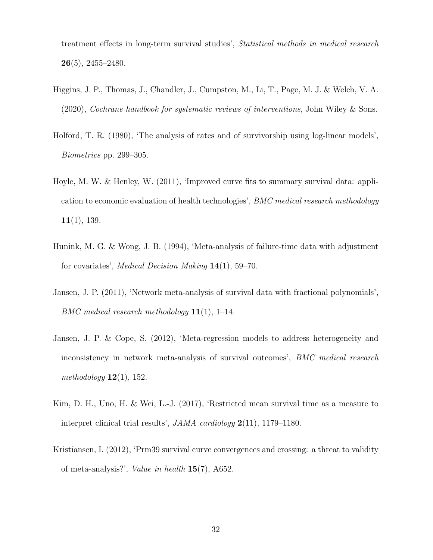treatment effects in long-term survival studies', Statistical methods in medical research  $26(5)$ , 2455–2480.

- <span id="page-31-0"></span>Higgins, J. P., Thomas, J., Chandler, J., Cumpston, M., Li, T., Page, M. J. & Welch, V. A. (2020), Cochrane handbook for systematic reviews of interventions, John Wiley & Sons.
- <span id="page-31-4"></span>Holford, T. R. (1980), 'The analysis of rates and of survivorship using log-linear models', Biometrics pp. 299–305.
- <span id="page-31-3"></span>Hoyle, M. W. & Henley, W. (2011), 'Improved curve fits to summary survival data: application to economic evaluation of health technologies', BMC medical research methodology  $11(1), 139.$
- <span id="page-31-2"></span>Hunink, M. G. & Wong, J. B. (1994), 'Meta-analysis of failure-time data with adjustment for covariates', Medical Decision Making 14(1), 59–70.
- <span id="page-31-6"></span>Jansen, J. P. (2011), 'Network meta-analysis of survival data with fractional polynomials', BMC medical research methodology  $11(1)$ , 1–14.
- <span id="page-31-7"></span>Jansen, J. P. & Cope, S. (2012), 'Meta-regression models to address heterogeneity and inconsistency in network meta-analysis of survival outcomes', BMC medical research methodology  $12(1)$ , 152.
- <span id="page-31-5"></span>Kim, D. H., Uno, H. & Wei, L.-J. (2017), 'Restricted mean survival time as a measure to interpret clinical trial results', JAMA cardiology 2(11), 1179–1180.
- <span id="page-31-1"></span>Kristiansen, I. (2012), 'Prm39 survival curve convergences and crossing: a threat to validity of meta-analysis?', Value in health 15(7), A652.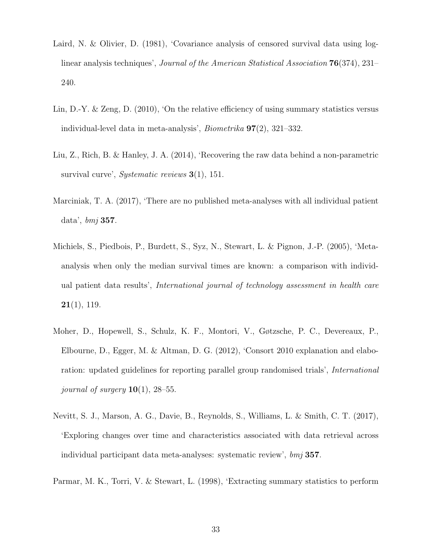- <span id="page-32-5"></span>Laird, N. & Olivier, D. (1981), 'Covariance analysis of censored survival data using loglinear analysis techniques', Journal of the American Statistical Association 76(374), 231– 240.
- <span id="page-32-7"></span>Lin, D.-Y. & Zeng, D. (2010), 'On the relative efficiency of using summary statistics versus individual-level data in meta-analysis', Biometrika 97(2), 321–332.
- <span id="page-32-3"></span>Liu, Z., Rich, B. & Hanley, J. A. (2014), 'Recovering the raw data behind a non-parametric survival curve', Systematic reviews  $3(1)$ , 151.
- <span id="page-32-0"></span>Marciniak, T. A. (2017), 'There are no published meta-analyses with all individual patient data', bmj 357.
- <span id="page-32-6"></span>Michiels, S., Piedbois, P., Burdett, S., Syz, N., Stewart, L. & Pignon, J.-P. (2005), 'Metaanalysis when only the median survival times are known: a comparison with individual patient data results', International journal of technology assessment in health care  $21(1), 119.$
- <span id="page-32-2"></span>Moher, D., Hopewell, S., Schulz, K. F., Montori, V., Gøtzsche, P. C., Devereaux, P., Elbourne, D., Egger, M. & Altman, D. G. (2012), 'Consort 2010 explanation and elaboration: updated guidelines for reporting parallel group randomised trials', International journal of surgery  $10(1)$ , 28–55.
- <span id="page-32-1"></span>Nevitt, S. J., Marson, A. G., Davie, B., Reynolds, S., Williams, L. & Smith, C. T. (2017), 'Exploring changes over time and characteristics associated with data retrieval across individual participant data meta-analyses: systematic review', bmj 357.
- <span id="page-32-4"></span>Parmar, M. K., Torri, V. & Stewart, L. (1998), 'Extracting summary statistics to perform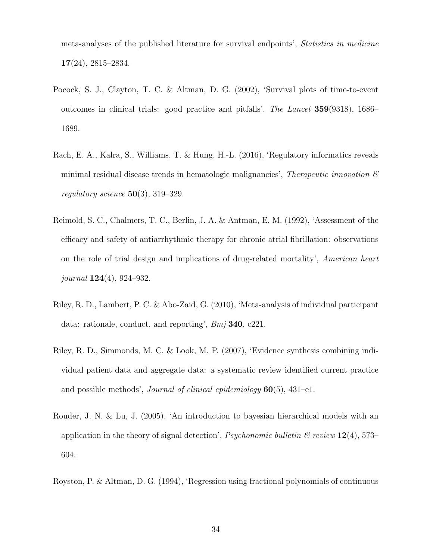meta-analyses of the published literature for survival endpoints', Statistics in medicine 17(24), 2815–2834.

- <span id="page-33-2"></span>Pocock, S. J., Clayton, T. C. & Altman, D. G. (2002), 'Survival plots of time-to-event outcomes in clinical trials: good practice and pitfalls', The Lancet 359(9318), 1686– 1689.
- <span id="page-33-4"></span>Rach, E. A., Kalra, S., Williams, T. & Hung, H.-L. (2016), 'Regulatory informatics reveals minimal residual disease trends in hematologic malignancies', Therapeutic innovation  $\mathcal{B}$ regulatory science  $50(3)$ , 319–329.
- <span id="page-33-3"></span>Reimold, S. C., Chalmers, T. C., Berlin, J. A. & Antman, E. M. (1992), 'Assessment of the efficacy and safety of antiarrhythmic therapy for chronic atrial fibrillation: observations on the role of trial design and implications of drug-related mortality', American heart journal  $124(4)$ , 924–932.
- <span id="page-33-0"></span>Riley, R. D., Lambert, P. C. & Abo-Zaid, G. (2010), 'Meta-analysis of individual participant data: rationale, conduct, and reporting', Bmj 340, c221.
- <span id="page-33-1"></span>Riley, R. D., Simmonds, M. C. & Look, M. P. (2007), 'Evidence synthesis combining individual patient data and aggregate data: a systematic review identified current practice and possible methods', *Journal of clinical epidemiology*  $60(5)$ ,  $431-1$ .
- <span id="page-33-5"></span>Rouder, J. N. & Lu, J. (2005), 'An introduction to bayesian hierarchical models with an application in the theory of signal detection', *Psychonomic bulletin*  $\&$  review 12(4), 573– 604.
- <span id="page-33-6"></span>Royston, P. & Altman, D. G. (1994), 'Regression using fractional polynomials of continuous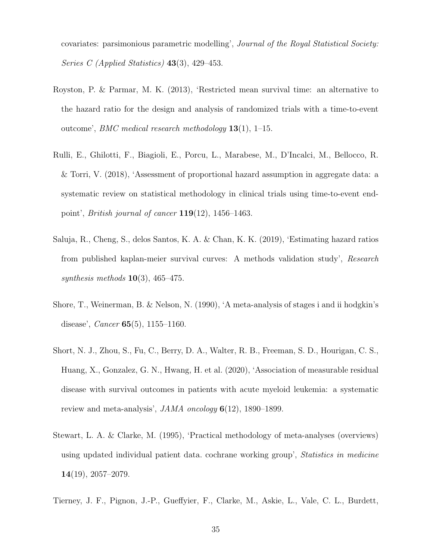covariates: parsimonious parametric modelling', Journal of the Royal Statistical Society: Series C (Applied Statistics) 43(3), 429–453.

- <span id="page-34-6"></span>Royston, P. & Parmar, M. K. (2013), 'Restricted mean survival time: an alternative to the hazard ratio for the design and analysis of randomized trials with a time-to-event outcome', *BMC medical research methodology*  $13(1)$ , 1–15.
- <span id="page-34-2"></span>Rulli, E., Ghilotti, F., Biagioli, E., Porcu, L., Marabese, M., D'Incalci, M., Bellocco, R. & Torri, V. (2018), 'Assessment of proportional hazard assumption in aggregate data: a systematic review on statistical methodology in clinical trials using time-to-event endpoint', *British journal of cancer*  $119(12)$ ,  $1456-1463$ .
- <span id="page-34-5"></span>Saluja, R., Cheng, S., delos Santos, K. A. & Chan, K. K. (2019), 'Estimating hazard ratios from published kaplan-meier survival curves: A methods validation study', Research synthesis methods  $10(3)$ , 465–475.
- <span id="page-34-3"></span>Shore, T., Weinerman, B. & Nelson, N. (1990), 'A meta-analysis of stages i and ii hodgkin's disease', *Cancer*  $65(5)$ , 1155–1160.
- <span id="page-34-4"></span>Short, N. J., Zhou, S., Fu, C., Berry, D. A., Walter, R. B., Freeman, S. D., Hourigan, C. S., Huang, X., Gonzalez, G. N., Hwang, H. et al. (2020), 'Association of measurable residual disease with survival outcomes in patients with acute myeloid leukemia: a systematic review and meta-analysis', JAMA oncology 6(12), 1890–1899.
- <span id="page-34-0"></span>Stewart, L. A. & Clarke, M. (1995), 'Practical methodology of meta-analyses (overviews) using updated individual patient data. cochrane working group', Statistics in medicine 14(19), 2057–2079.
- <span id="page-34-1"></span>Tierney, J. F., Pignon, J.-P., Gueffyier, F., Clarke, M., Askie, L., Vale, C. L., Burdett,